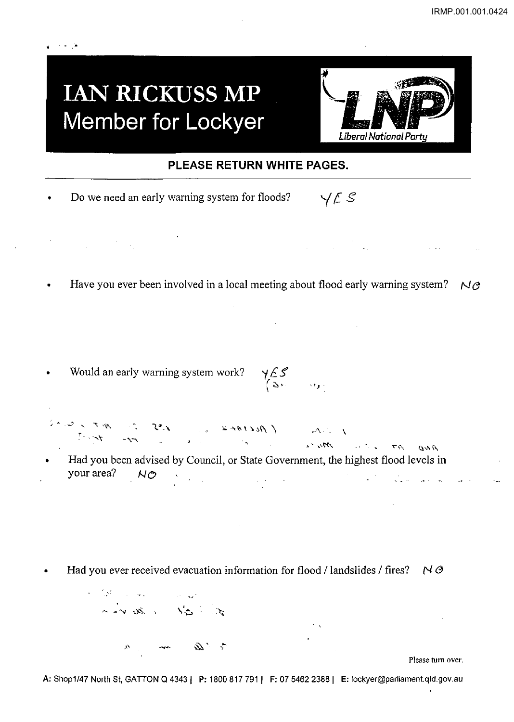## **IAN RICKUSS MP Member for Lockyer**

ing a she



## **PLEASE RETURN WHITE PAGES.**

|  | Do we need an early warning system for floods? | Y E S |  |
|--|------------------------------------------------|-------|--|
|--|------------------------------------------------|-------|--|

 $\label{eq:2.1} \frac{1}{\sqrt{2\pi}}\int_{\mathbb{R}^3}\frac{1}{\sqrt{2\pi}}\int_{\mathbb{R}^3}\frac{1}{\sqrt{2\pi}}\int_{\mathbb{R}^3}\frac{1}{\sqrt{2\pi}}\int_{\mathbb{R}^3}\frac{1}{\sqrt{2\pi}}\int_{\mathbb{R}^3}\frac{1}{\sqrt{2\pi}}\int_{\mathbb{R}^3}\frac{1}{\sqrt{2\pi}}\int_{\mathbb{R}^3}\frac{1}{\sqrt{2\pi}}\int_{\mathbb{R}^3}\frac{1}{\sqrt{2\pi}}\int_{\mathbb{R}^3}\frac{1$ 

Have you ever been involved in a local meeting about flood early warning system?  $N \vartheta$ 

 $\mathcal{L}_{\mathcal{L}}$ 

Would an early warning system work?  $\langle \, \circ \, , \, \circ \, \circ \, \circ \, \rangle$ 

 $\int f(x) dx = \int f(x)$ ,  $\int f(x) dx = \int f(x) dx$ ,  $\int f(x) dx = \int f(x) dx$ ,  $\int f(x) dx = \int f(x) dx$ 

- Had you been advised by Council, or State Government, the highest flood levels in your area?  $N\oslash$  $\label{eq:3.1} \frac{1}{\sqrt{2}}\left(\frac{1}{\sqrt{2}}\right)^{2}=\frac{1}{\sqrt{2}}\left(\frac{1}{\sqrt{2}}\right)^{2}=\frac{1}{\sqrt{2}}\left(\frac{1}{\sqrt{2}}\right)^{2}=\frac{1}{\sqrt{2}}\left(\frac{1}{\sqrt{2}}\right)^{2}$
- Had you ever received evacuation information for flood / landslides / fires? N *e*

 $\label{eq:2} \sigma = \left( \frac{\sqrt{3}}{2} \sum_{i=1}^n \left( \frac{1}{\sqrt{2}} \right)^2 \right) \left( \frac{1}{\sqrt{2}} \right) \left( \frac{\sqrt{3}}{2} \right)^2 \left( \frac{1}{\sqrt{2}} \right)^2 \left( \frac{1}{\sqrt{2}} \right)^2 \left( \frac{\sqrt{3}}{2} \right)^2.$ the 31 room 2. " Que mon 1 1 1/2

Please tum over.

**A:** Shop1/47 North St, GAITON Q 43431 **P:** 1800817791 **1 F:** 07 5462 23881 **E:** locKyer@parliamenl.qld.gov.au

 $\mathcal{F}^{\mathcal{A}}(\mathcal{K})$